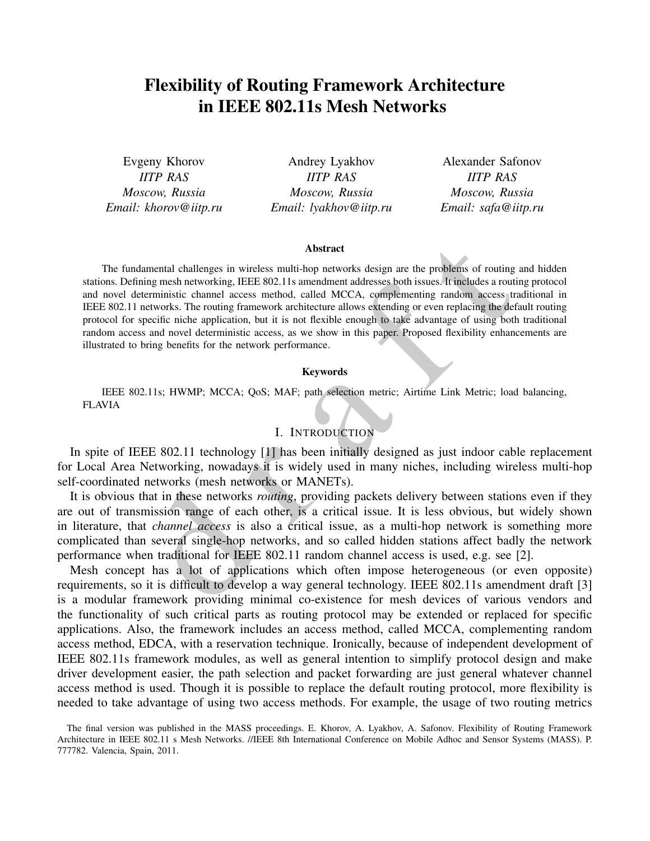# Flexibility of Routing Framework Architecture in IEEE 802.11s Mesh Networks

Evgeny Khorov *IITP RAS Moscow, Russia Email: khorov@iitp.ru*

Andrey Lyakhov *IITP RAS Moscow, Russia Email: lyakhov@iitp.ru*

Alexander Safonov *IITP RAS Moscow, Russia Email: safa@iitp.ru*

#### Abstract

**Abstract**<br>**Abstract**<br>**Abstract**<br>**Abstract**<br>**Abstract**<br>**Abstract**<br>**Abstract**<br>**Abstract**<br>**Abstract**<br>**Abstract**<br>**Abstract**<br>**Abstract**<br>**Enterministic channel access method, called MCCA, complementing random access, trad<br><b>Ente** The fundamental challenges in wireless multi-hop networks design are the problems of routing and hidden stations. Defining mesh networking, IEEE 802.11s amendment addresses both issues. It includes a routing protocol and novel deterministic channel access method, called MCCA, complementing random access traditional in IEEE 802.11 networks. The routing framework architecture allows extending or even replacing the default routing protocol for specific niche application, but it is not flexible enough to take advantage of using both traditional random access and novel deterministic access, as we show in this paper. Proposed flexibility enhancements are illustrated to bring benefits for the network performance.

#### Keywords

IEEE 802.11s; HWMP; MCCA; QoS; MAF; path selection metric; Airtime Link Metric; load balancing, FLAVIA

# I. INTRODUCTION

In spite of IEEE 802.11 technology [1] has been initially designed as just indoor cable replacement for Local Area Networking, nowadays it is widely used in many niches, including wireless multi-hop self-coordinated networks (mesh networks or MANETs).

It is obvious that in these networks *routing*, providing packets delivery between stations even if they are out of transmission range of each other, is a critical issue. It is less obvious, but widely shown in literature, that *channel access* is also a critical issue, as a multi-hop network is something more complicated than several single-hop networks, and so called hidden stations affect badly the network performance when traditional for IEEE 802.11 random channel access is used, e.g. see [2].

Mesh concept has a lot of applications which often impose heterogeneous (or even opposite) requirements, so it is difficult to develop a way general technology. IEEE 802.11s amendment draft [3] is a modular framework providing minimal co-existence for mesh devices of various vendors and the functionality of such critical parts as routing protocol may be extended or replaced for specific applications. Also, the framework includes an access method, called MCCA, complementing random access method, EDCA, with a reservation technique. Ironically, because of independent development of IEEE 802.11s framework modules, as well as general intention to simplify protocol design and make driver development easier, the path selection and packet forwarding are just general whatever channel access method is used. Though it is possible to replace the default routing protocol, more flexibility is needed to take advantage of using two access methods. For example, the usage of two routing metrics

The final version was published in the MASS proceedings. E. Khorov, A. Lyakhov, A. Safonov. Flexibility of Routing Framework Architecture in IEEE 802.11 s Mesh Networks. //IEEE 8th International Conference on Mobile Adhoc and Sensor Systems (MASS). P. 777782. Valencia, Spain, 2011.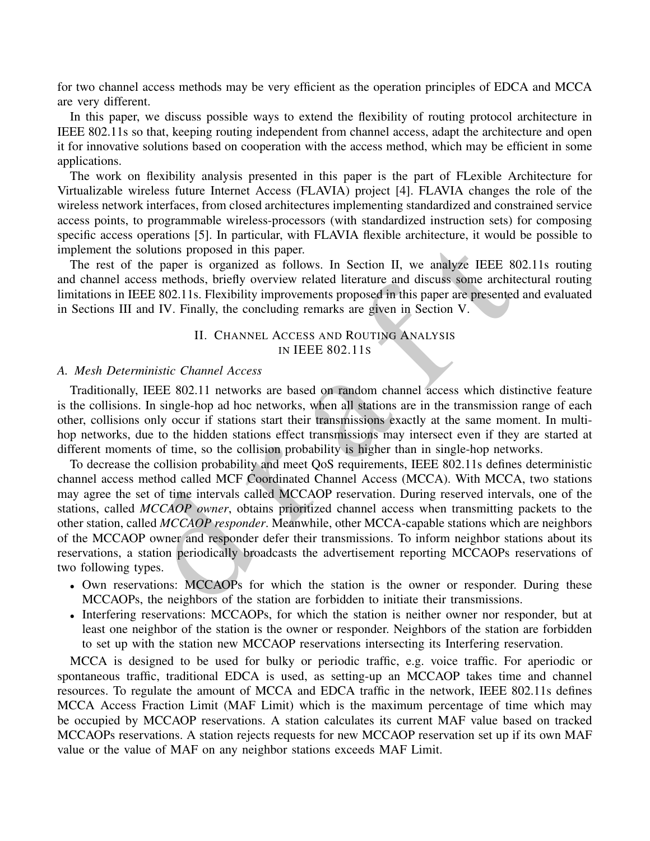for two channel access methods may be very efficient as the operation principles of EDCA and MCCA are very different.

In this paper, we discuss possible ways to extend the flexibility of routing protocol architecture in IEEE 802.11s so that, keeping routing independent from channel access, adapt the architecture and open it for innovative solutions based on cooperation with the access method, which may be efficient in some applications.

The work on flexibility analysis presented in this paper is the part of FLexible Architecture for Virtualizable wireless future Internet Access (FLAVIA) project [4]. FLAVIA changes the role of the wireless network interfaces, from closed architectures implementing standardized and constrained service access points, to programmable wireless-processors (with standardized instruction sets) for composing specific access operations [5]. In particular, with FLAVIA flexible architecture, it would be possible to implement the solutions proposed in this paper.

The rest of the paper is organized as follows. In Section II, we analyze IEEE 802.11s routing and channel access methods, briefly overview related literature and discuss some architectural routing limitations in IEEE 802.11s. Flexibility improvements proposed in this paper are presented and evaluated in Sections III and IV. Finally, the concluding remarks are given in Section V.

## II. CHANNEL ACCESS AND ROUTING ANALYSIS IN IEEE 802.11S

## *A. Mesh Deterministic Channel Access*

Traditionally, IEEE 802.11 networks are based on random channel access which distinctive feature is the collisions. In single-hop ad hoc networks, when all stations are in the transmission range of each other, collisions only occur if stations start their transmissions exactly at the same moment. In multihop networks, due to the hidden stations effect transmissions may intersect even if they are started at different moments of time, so the collision probability is higher than in single-hop networks.

by pergrammable wireless-processors (with standardized instruction sets) for peractions [5]. In particular, with FLAVIA flexible architecture, it would b<br>colutions proposed in this paper.<br>Colutions proposed in this paper.<br> To decrease the collision probability and meet QoS requirements, IEEE 802.11s defines deterministic channel access method called MCF Coordinated Channel Access (MCCA). With MCCA, two stations may agree the set of time intervals called MCCAOP reservation. During reserved intervals, one of the stations, called *MCCAOP owner*, obtains prioritized channel access when transmitting packets to the other station, called *MCCAOP responder*. Meanwhile, other MCCA-capable stations which are neighbors of the MCCAOP owner and responder defer their transmissions. To inform neighbor stations about its reservations, a station periodically broadcasts the advertisement reporting MCCAOPs reservations of two following types.

- Own reservations: MCCAOPs for which the station is the owner or responder. During these MCCAOPs, the neighbors of the station are forbidden to initiate their transmissions.
- Interfering reservations: MCCAOPs, for which the station is neither owner nor responder, but at least one neighbor of the station is the owner or responder. Neighbors of the station are forbidden to set up with the station new MCCAOP reservations intersecting its Interfering reservation.

MCCA is designed to be used for bulky or periodic traffic, e.g. voice traffic. For aperiodic or spontaneous traffic, traditional EDCA is used, as setting-up an MCCAOP takes time and channel resources. To regulate the amount of MCCA and EDCA traffic in the network, IEEE 802.11s defines MCCA Access Fraction Limit (MAF Limit) which is the maximum percentage of time which may be occupied by MCCAOP reservations. A station calculates its current MAF value based on tracked MCCAOPs reservations. A station rejects requests for new MCCAOP reservation set up if its own MAF value or the value of MAF on any neighbor stations exceeds MAF Limit.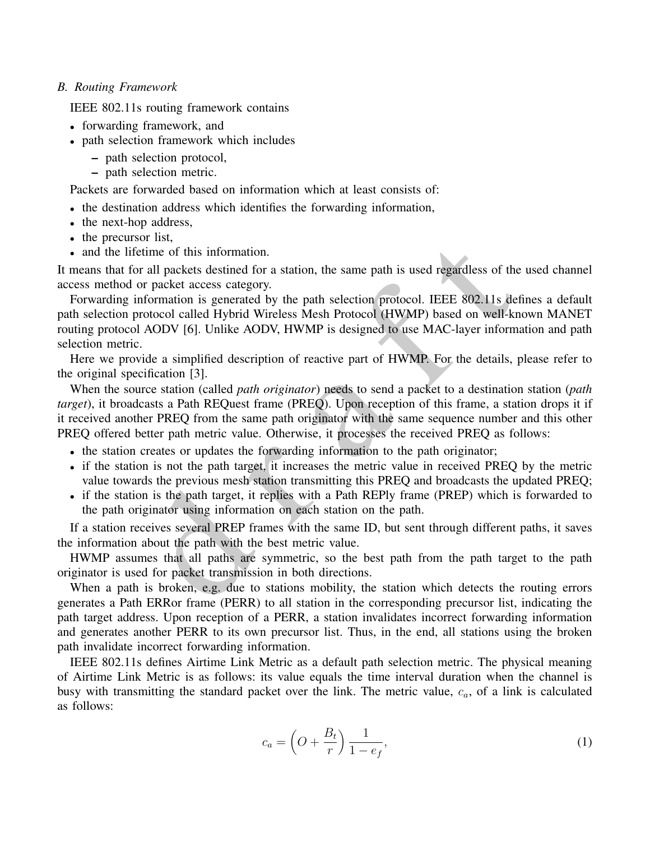## *B. Routing Framework*

IEEE 802.11s routing framework contains

- forwarding framework, and
- path selection framework which includes
	- path selection protocol,
	- path selection metric.

Packets are forwarded based on information which at least consists of:

- the destination address which identifies the forwarding information,
- the next-hop address,
- the precursor list,
- and the lifetime of this information.

It means that for all packets destined for a station, the same path is used regardless of the used channel access method or packet access category.

or list,<br>or list,<br>or list,<br>or list,<br>or list,<br>action of this information.<br>The removed that is energed by the path selection protocol. IEEE 802.11s define<br>mormonion is generated by the path selection protocol. IEEE 802.11s Forwarding information is generated by the path selection protocol. IEEE 802.11s defines a default path selection protocol called Hybrid Wireless Mesh Protocol (HWMP) based on well-known MANET routing protocol AODV [6]. Unlike AODV, HWMP is designed to use MAC-layer information and path selection metric.

Here we provide a simplified description of reactive part of HWMP. For the details, please refer to the original specification [3].

When the source station (called *path originator*) needs to send a packet to a destination station (*path target*), it broadcasts a Path REQuest frame (PREQ). Upon reception of this frame, a station drops it if it received another PREQ from the same path originator with the same sequence number and this other PREQ offered better path metric value. Otherwise, it processes the received PREQ as follows:

- the station creates or updates the forwarding information to the path originator;
- if the station is not the path target, it increases the metric value in received PREQ by the metric value towards the previous mesh station transmitting this PREQ and broadcasts the updated PREQ;
- if the station is the path target, it replies with a Path REPly frame (PREP) which is forwarded to the path originator using information on each station on the path.

If a station receives several PREP frames with the same ID, but sent through different paths, it saves the information about the path with the best metric value.

HWMP assumes that all paths are symmetric, so the best path from the path target to the path originator is used for packet transmission in both directions.

When a path is broken, e.g. due to stations mobility, the station which detects the routing errors generates a Path ERRor frame (PERR) to all station in the corresponding precursor list, indicating the path target address. Upon reception of a PERR, a station invalidates incorrect forwarding information and generates another PERR to its own precursor list. Thus, in the end, all stations using the broken path invalidate incorrect forwarding information.

IEEE 802.11s defines Airtime Link Metric as a default path selection metric. The physical meaning of Airtime Link Metric is as follows: its value equals the time interval duration when the channel is busy with transmitting the standard packet over the link. The metric value,  $c_a$ , of a link is calculated as follows:

$$
c_a = \left( O + \frac{B_t}{r} \right) \frac{1}{1 - e_f},\tag{1}
$$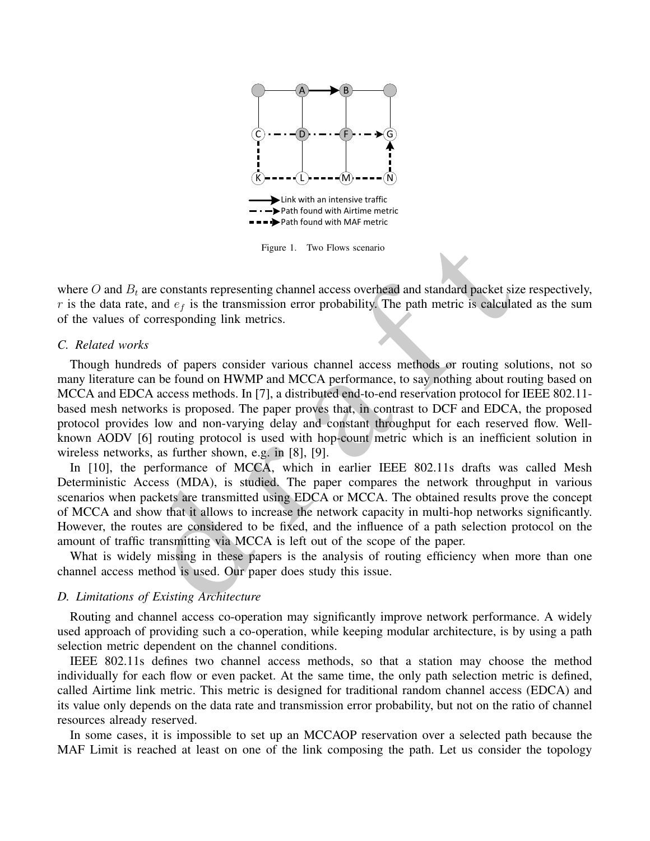

Figure 1. Two Flows scenario

where  $O$  and  $B_t$  are constants representing channel access overhead and standard packet size respectively, r is the data rate, and  $e_f$  is the transmission error probability. The path metric is calculated as the sum of the values of corresponding link metrics.

## *C. Related works*

**Example 12**<br> **Example 1.** Two Flows scenario<br>
Figure 1. Two Flows scenario<br>
are constants representing channel access overhead and standard packet size<br>
c, and  $e_f$  is the transmission error probability. The path metric Though hundreds of papers consider various channel access methods or routing solutions, not so many literature can be found on HWMP and MCCA performance, to say nothing about routing based on MCCA and EDCA access methods. In [7], a distributed end-to-end reservation protocol for IEEE 802.11 based mesh networks is proposed. The paper proves that, in contrast to DCF and EDCA, the proposed protocol provides low and non-varying delay and constant throughput for each reserved flow. Wellknown AODV [6] routing protocol is used with hop-count metric which is an inefficient solution in wireless networks, as further shown, e.g. in [8], [9].

In [10], the performance of MCCA, which in earlier IEEE 802.11s drafts was called Mesh Deterministic Access (MDA), is studied. The paper compares the network throughput in various scenarios when packets are transmitted using EDCA or MCCA. The obtained results prove the concept of MCCA and show that it allows to increase the network capacity in multi-hop networks significantly. However, the routes are considered to be fixed, and the influence of a path selection protocol on the amount of traffic transmitting via MCCA is left out of the scope of the paper.

What is widely missing in these papers is the analysis of routing efficiency when more than one channel access method is used. Our paper does study this issue.

### *D. Limitations of Existing Architecture*

Routing and channel access co-operation may significantly improve network performance. A widely used approach of providing such a co-operation, while keeping modular architecture, is by using a path selection metric dependent on the channel conditions.

IEEE 802.11s defines two channel access methods, so that a station may choose the method individually for each flow or even packet. At the same time, the only path selection metric is defined, called Airtime link metric. This metric is designed for traditional random channel access (EDCA) and its value only depends on the data rate and transmission error probability, but not on the ratio of channel resources already reserved.

In some cases, it is impossible to set up an MCCAOP reservation over a selected path because the MAF Limit is reached at least on one of the link composing the path. Let us consider the topology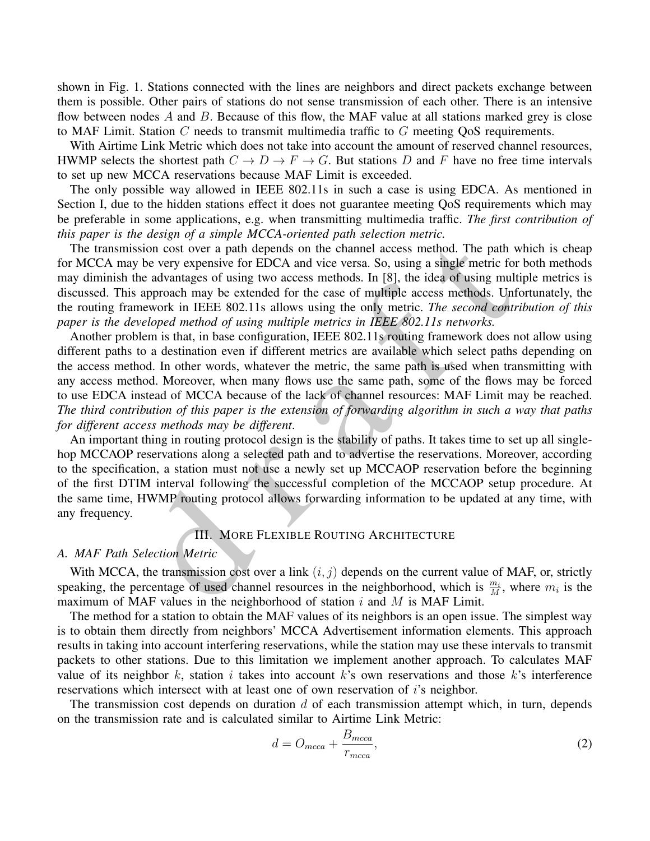shown in Fig. 1. Stations connected with the lines are neighbors and direct packets exchange between them is possible. Other pairs of stations do not sense transmission of each other. There is an intensive flow between nodes  $A$  and  $B$ . Because of this flow, the MAF value at all stations marked grey is close to MAF Limit. Station  $C$  needs to transmit multimedia traffic to  $G$  meeting QoS requirements.

With Airtime Link Metric which does not take into account the amount of reserved channel resources, HWMP selects the shortest path  $C \to D \to F \to G$ . But stations D and F have no free time intervals to set up new MCCA reservations because MAF Limit is exceeded.

The only possible way allowed in IEEE 802.11s in such a case is using EDCA. As mentioned in Section I, due to the hidden stations effect it does not guarantee meeting QoS requirements which may be preferable in some applications, e.g. when transmitting multimedia traffic. *The first contribution of this paper is the design of a simple MCCA-oriented path selection metric.*

The transmission cost over a path depends on the channel access method. The path which is cheap for MCCA may be very expensive for EDCA and vice versa. So, using a single metric for both methods may diminish the advantages of using two access methods. In [8], the idea of using multiple metrics is discussed. This approach may be extended for the case of multiple access methods. Unfortunately, the the routing framework in IEEE 802.11s allows using the only metric. *The second contribution of this paper is the developed method of using multiple metrics in IEEE 802.11s networks.*

some applications, e.g., when transmitting multimedia trathe. The *first co*<br> *e design of a simple MCCA-oriented path selection meric. The <i>first co*<br> *e design of a simple MCCA-oriented path selection meric.<br>
The path w* Another problem is that, in base configuration, IEEE 802.11s routing framework does not allow using different paths to a destination even if different metrics are available which select paths depending on the access method. In other words, whatever the metric, the same path is used when transmitting with any access method. Moreover, when many flows use the same path, some of the flows may be forced to use EDCA instead of MCCA because of the lack of channel resources: MAF Limit may be reached. *The third contribution of this paper is the extension of forwarding algorithm in such a way that paths for different access methods may be different*.

An important thing in routing protocol design is the stability of paths. It takes time to set up all singlehop MCCAOP reservations along a selected path and to advertise the reservations. Moreover, according to the specification, a station must not use a newly set up MCCAOP reservation before the beginning of the first DTIM interval following the successful completion of the MCCAOP setup procedure. At the same time, HWMP routing protocol allows forwarding information to be updated at any time, with any frequency.

### III. MORE FLEXIBLE ROUTING ARCHITECTURE

#### *A. MAF Path Selection Metric*

With MCCA, the transmission cost over a link  $(i, j)$  depends on the current value of MAF, or, strictly speaking, the percentage of used channel resources in the neighborhood, which is  $\frac{m_i}{M}$ , where  $m_i$  is the maximum of MAF values in the neighborhood of station i and  $M$  is MAF Limit.

The method for a station to obtain the MAF values of its neighbors is an open issue. The simplest way is to obtain them directly from neighbors' MCCA Advertisement information elements. This approach results in taking into account interfering reservations, while the station may use these intervals to transmit packets to other stations. Due to this limitation we implement another approach. To calculates MAF value of its neighbor k, station i takes into account k's own reservations and those k's interference reservations which intersect with at least one of own reservation of *i*'s neighbor.

The transmission cost depends on duration  $d$  of each transmission attempt which, in turn, depends on the transmission rate and is calculated similar to Airtime Link Metric:

$$
d = O_{mcca} + \frac{B_{mcca}}{r_{mcca}},\tag{2}
$$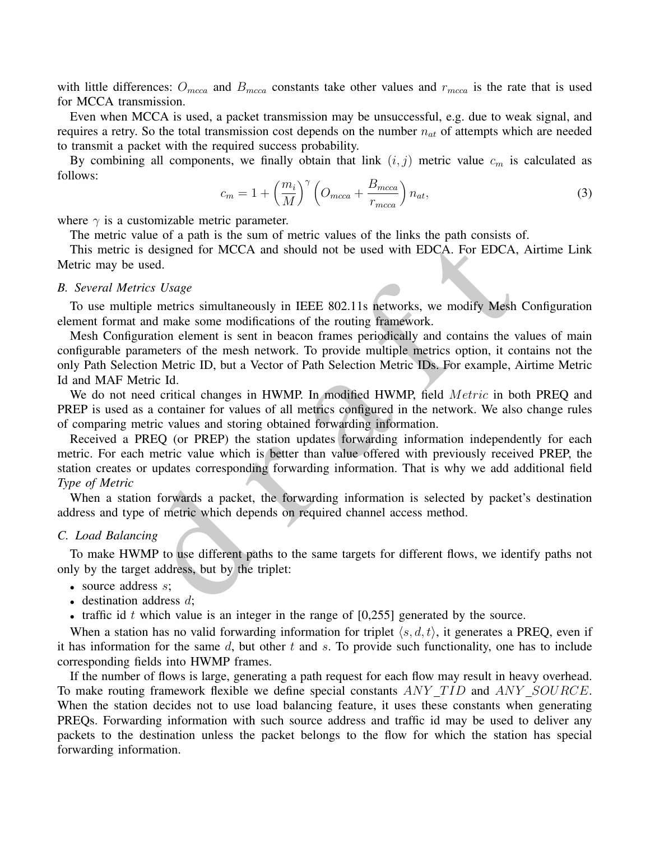with little differences:  $O_{mcca}$  and  $B_{mcca}$  constants take other values and  $r_{mcca}$  is the rate that is used for MCCA transmission.

Even when MCCA is used, a packet transmission may be unsuccessful, e.g. due to weak signal, and requires a retry. So the total transmission cost depends on the number  $n_{at}$  of attempts which are needed to transmit a packet with the required success probability.

By combining all components, we finally obtain that link  $(i, j)$  metric value  $c_m$  is calculated as follows:

$$
c_m = 1 + \left(\frac{m_i}{M}\right)^{\gamma} \left(O_{mcca} + \frac{B_{mcca}}{r_{mcca}}\right) n_{at},\tag{3}
$$

where  $\gamma$  is a customizable metric parameter.

The metric value of a path is the sum of metric values of the links the path consists of.

This metric is designed for MCCA and should not be used with EDCA. For EDCA, Airtime Link Metric may be used.

#### *B. Several Metrics Usage*

To use multiple metrics simultaneously in IEEE 802.11s networks, we modify Mesh Configuration element format and make some modifications of the routing framework.

stomizable metric parameter.<br>
alue of a path is the sum of metric values of the links the path consists of<br>
a designed for MCCA and should not be used with EDCA. For EDCA, *t*<br>
used.<br>
used.<br>
existical consequence modificat Mesh Configuration element is sent in beacon frames periodically and contains the values of main configurable parameters of the mesh network. To provide multiple metrics option, it contains not the only Path Selection Metric ID, but a Vector of Path Selection Metric IDs. For example, Airtime Metric Id and MAF Metric Id.

We do not need critical changes in HWMP. In modified HWMP, field *Metric* in both PREQ and PREP is used as a container for values of all metrics configured in the network. We also change rules of comparing metric values and storing obtained forwarding information.

Received a PREQ (or PREP) the station updates forwarding information independently for each metric. For each metric value which is better than value offered with previously received PREP, the station creates or updates corresponding forwarding information. That is why we add additional field *Type of Metric*

When a station forwards a packet, the forwarding information is selected by packet's destination address and type of metric which depends on required channel access method.

## *C. Load Balancing*

To make HWMP to use different paths to the same targets for different flows, we identify paths not only by the target address, but by the triplet:

- source address  $s$ ;
- $\bullet$  destination address  $d$ ;
- traffic id  $t$  which value is an integer in the range of  $[0,255]$  generated by the source.

When a station has no valid forwarding information for triplet  $\langle s, d, t \rangle$ , it generates a PREQ, even if it has information for the same  $d$ , but other  $t$  and  $s$ . To provide such functionality, one has to include corresponding fields into HWMP frames.

If the number of flows is large, generating a path request for each flow may result in heavy overhead. To make routing framework flexible we define special constants ANY TID and ANY SOURCE. When the station decides not to use load balancing feature, it uses these constants when generating PREQs. Forwarding information with such source address and traffic id may be used to deliver any packets to the destination unless the packet belongs to the flow for which the station has special forwarding information.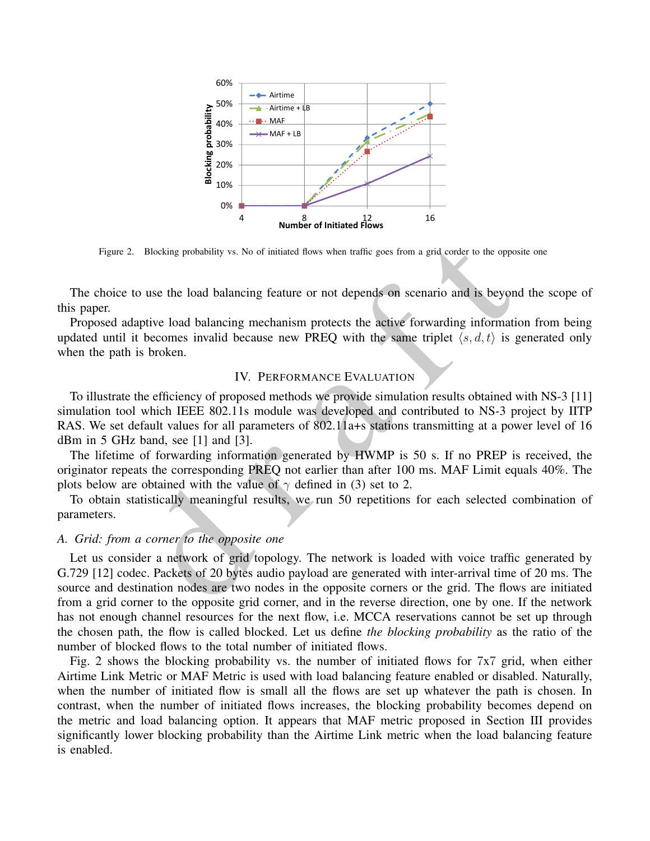

Figure 2. Blocking probability vs. No of initiated flows when traffic goes from a grid corder to the opposite one

The choice to use the load balancing feature or not depends on scenario and is beyond the scope of this paper.

Proposed adaptive load balancing mechanism protects the active forwarding information from being updated until it becomes invalid because new PREQ with the same triplet  $\langle s, d, t \rangle$  is generated only when the path is broken.

## IV. PERFORMANCE EVALUATION

**EXECUTE 10**<br> **EXECUTE 10**<br> **EXECUTE 10**<br> **EXECUTE 10**<br> **EXECUTE 10**<br> **EXECUTE 10**<br> **EXECUTE 10**<br> **EXECUTE 10**<br> **EXECUTE 10**<br> **EXECUTE 10**<br> **EXECUTE 10**<br> **EXECUTE 10**<br> **EXECUTE 10**<br> **EXECUTE 11**<br> **EXECUTE 11**<br> **EXECUTE 11** To illustrate the efficiency of proposed methods we provide simulation results obtained with NS-3 [11] simulation tool which IEEE 802.11s module was developed and contributed to NS-3 project by IITP RAS. We set default values for all parameters of 802.11a+s stations transmitting at a power level of 16 dBm in 5 GHz band, see [1] and [3].

The lifetime of forwarding information generated by HWMP is 50 s. If no PREP is received, the originator repeats the corresponding PREQ not earlier than after 100 ms. MAF Limit equals 40%. The plots below are obtained with the value of  $\gamma$  defined in (3) set to 2.

To obtain statistically meaningful results, we run 50 repetitions for each selected combination of parameters.

## *A. Grid: from a corner to the opposite one*

Let us consider a network of grid topology. The network is loaded with voice traffic generated by G.729 [12] codec. Packets of 20 bytes audio payload are generated with inter-arrival time of 20 ms. The source and destination nodes are two nodes in the opposite corners or the grid. The flows are initiated from a grid corner to the opposite grid corner, and in the reverse direction, one by one. If the network has not enough channel resources for the next flow, i.e. MCCA reservations cannot be set up through the chosen path, the flow is called blocked. Let us define *the blocking probability* as the ratio of the number of blocked flows to the total number of initiated flows.

Fig. 2 shows the blocking probability vs. the number of initiated flows for 7x7 grid, when either Airtime Link Metric or MAF Metric is used with load balancing feature enabled or disabled. Naturally, when the number of initiated flow is small all the flows are set up whatever the path is chosen. In contrast, when the number of initiated flows increases, the blocking probability becomes depend on the metric and load balancing option. It appears that MAF metric proposed in Section III provides significantly lower blocking probability than the Airtime Link metric when the load balancing feature is enabled.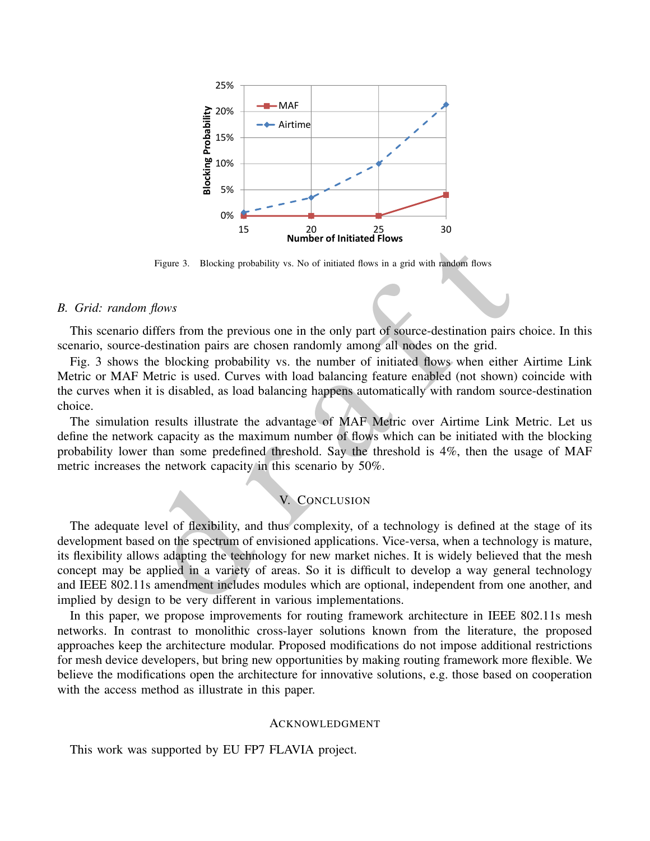

Figure 3. Blocking probability vs. No of initiated flows in a grid with random flows

## *B. Grid: random flows*

This scenario differs from the previous one in the only part of source-destination pairs choice. In this scenario, source-destination pairs are chosen randomly among all nodes on the grid.

Fig. 3 shows the blocking probability vs. the number of initiated flows when either Airtime Link Metric or MAF Metric is used. Curves with load balancing feature enabled (not shown) coincide with the curves when it is disabled, as load balancing happens automatically with random source-destination choice.

The simulation results illustrate the advantage of MAF Metric over Airtime Link Metric. Let us define the network capacity as the maximum number of flows which can be initiated with the blocking probability lower than some predefined threshold. Say the threshold is 4%, then the usage of MAF metric increases the network capacity in this scenario by 50%.

## V. CONCLUSION

<sup>26</sup><br>
<sup>26</sup><br>
<sup>26</sup><br> **Example 10**<br> **Example 10**<br> **Example 10**<br> **Example 10**<br> **Example 10**<br> **Example 10**<br> **Example 10**<br> **Example 10**<br> **Example 10**<br> **Example 10**<br> **Example 10**<br> **Example 10**<br> **Example 10**<br> **Example 10**<br> **Exampl** The adequate level of flexibility, and thus complexity, of a technology is defined at the stage of its development based on the spectrum of envisioned applications. Vice-versa, when a technology is mature, its flexibility allows adapting the technology for new market niches. It is widely believed that the mesh concept may be applied in a variety of areas. So it is difficult to develop a way general technology and IEEE 802.11s amendment includes modules which are optional, independent from one another, and implied by design to be very different in various implementations.

In this paper, we propose improvements for routing framework architecture in IEEE 802.11s mesh networks. In contrast to monolithic cross-layer solutions known from the literature, the proposed approaches keep the architecture modular. Proposed modifications do not impose additional restrictions for mesh device developers, but bring new opportunities by making routing framework more flexible. We believe the modifications open the architecture for innovative solutions, e.g. those based on cooperation with the access method as illustrate in this paper.

### ACKNOWLEDGMENT

This work was supported by EU FP7 FLAVIA project.